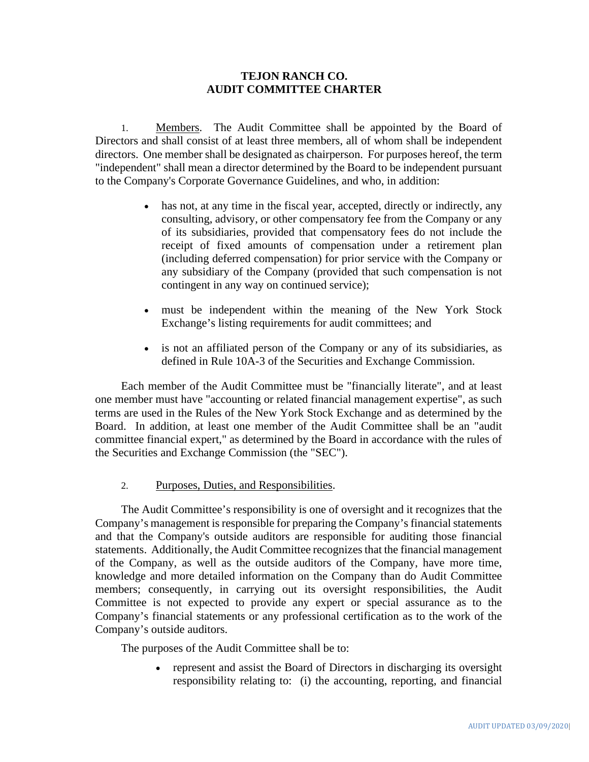## **TEJON RANCH CO. AUDIT COMMITTEE CHARTER**

1. Members. The Audit Committee shall be appointed by the Board of Directors and shall consist of at least three members, all of whom shall be independent directors. One member shall be designated as chairperson. For purposes hereof, the term "independent" shall mean a director determined by the Board to be independent pursuant to the Company's Corporate Governance Guidelines, and who, in addition:

- has not, at any time in the fiscal year, accepted, directly or indirectly, any consulting, advisory, or other compensatory fee from the Company or any of its subsidiaries, provided that compensatory fees do not include the receipt of fixed amounts of compensation under a retirement plan (including deferred compensation) for prior service with the Company or any subsidiary of the Company (provided that such compensation is not contingent in any way on continued service);
- must be independent within the meaning of the New York Stock Exchange's listing requirements for audit committees; and
- is not an affiliated person of the Company or any of its subsidiaries, as defined in Rule 10A-3 of the Securities and Exchange Commission.

Each member of the Audit Committee must be "financially literate", and at least one member must have "accounting or related financial management expertise", as such terms are used in the Rules of the New York Stock Exchange and as determined by the Board. In addition, at least one member of the Audit Committee shall be an "audit committee financial expert," as determined by the Board in accordance with the rules of the Securities and Exchange Commission (the "SEC").

## 2. Purposes, Duties, and Responsibilities.

The Audit Committee's responsibility is one of oversight and it recognizes that the Company's management is responsible for preparing the Company's financial statements and that the Company's outside auditors are responsible for auditing those financial statements. Additionally, the Audit Committee recognizes that the financial management of the Company, as well as the outside auditors of the Company, have more time, knowledge and more detailed information on the Company than do Audit Committee members; consequently, in carrying out its oversight responsibilities, the Audit Committee is not expected to provide any expert or special assurance as to the Company's financial statements or any professional certification as to the work of the Company's outside auditors.

The purposes of the Audit Committee shall be to:

• represent and assist the Board of Directors in discharging its oversight responsibility relating to: (i) the accounting, reporting, and financial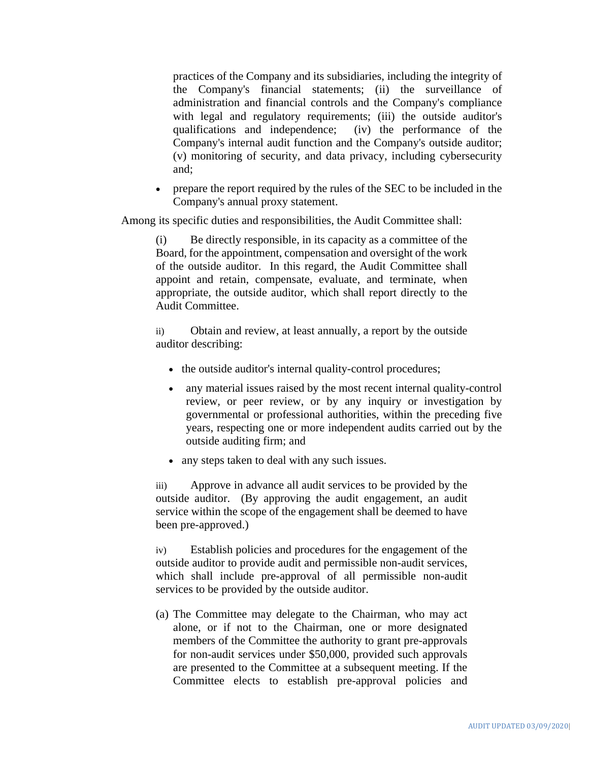practices of the Company and its subsidiaries, including the integrity of the Company's financial statements; (ii) the surveillance of administration and financial controls and the Company's compliance with legal and regulatory requirements; (iii) the outside auditor's qualifications and independence; (iv) the performance of the Company's internal audit function and the Company's outside auditor; (v) monitoring of security, and data privacy, including cybersecurity and;

• prepare the report required by the rules of the SEC to be included in the Company's annual proxy statement.

Among its specific duties and responsibilities, the Audit Committee shall:

(i) Be directly responsible, in its capacity as a committee of the Board, for the appointment, compensation and oversight of the work of the outside auditor. In this regard, the Audit Committee shall appoint and retain, compensate, evaluate, and terminate, when appropriate, the outside auditor, which shall report directly to the Audit Committee.

ii) Obtain and review, at least annually, a report by the outside auditor describing:

- the outside auditor's internal quality-control procedures;
- any material issues raised by the most recent internal quality-control review, or peer review, or by any inquiry or investigation by governmental or professional authorities, within the preceding five years, respecting one or more independent audits carried out by the outside auditing firm; and
- any steps taken to deal with any such issues.

iii) Approve in advance all audit services to be provided by the outside auditor. (By approving the audit engagement, an audit service within the scope of the engagement shall be deemed to have been pre-approved.)

iv) Establish policies and procedures for the engagement of the outside auditor to provide audit and permissible non-audit services, which shall include pre-approval of all permissible non-audit services to be provided by the outside auditor.

(a) The Committee may delegate to the Chairman, who may act alone, or if not to the Chairman, one or more designated members of the Committee the authority to grant pre-approvals for non-audit services under \$50,000, provided such approvals are presented to the Committee at a subsequent meeting. If the Committee elects to establish pre-approval policies and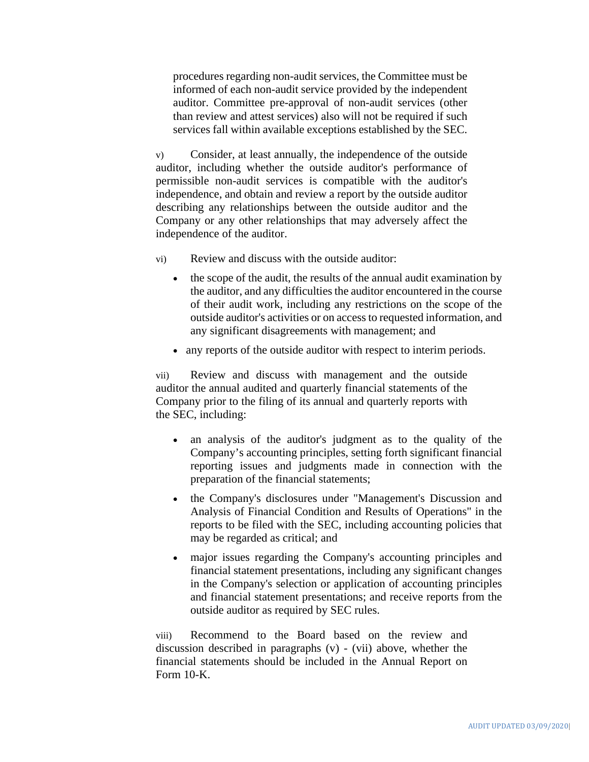procedures regarding non-audit services, the Committee must be informed of each non-audit service provided by the independent auditor. Committee pre-approval of non-audit services (other than review and attest services) also will not be required if such services fall within available exceptions established by the SEC.

v) Consider, at least annually, the independence of the outside auditor, including whether the outside auditor's performance of permissible non-audit services is compatible with the auditor's independence, and obtain and review a report by the outside auditor describing any relationships between the outside auditor and the Company or any other relationships that may adversely affect the independence of the auditor.

- vi) Review and discuss with the outside auditor:
	- the scope of the audit, the results of the annual audit examination by the auditor, and any difficulties the auditor encountered in the course of their audit work, including any restrictions on the scope of the outside auditor's activities or on access to requested information, and any significant disagreements with management; and
	- any reports of the outside auditor with respect to interim periods.

vii) Review and discuss with management and the outside auditor the annual audited and quarterly financial statements of the Company prior to the filing of its annual and quarterly reports with the SEC, including:

- an analysis of the auditor's judgment as to the quality of the Company's accounting principles, setting forth significant financial reporting issues and judgments made in connection with the preparation of the financial statements;
- the Company's disclosures under "Management's Discussion and Analysis of Financial Condition and Results of Operations" in the reports to be filed with the SEC, including accounting policies that may be regarded as critical; and
- major issues regarding the Company's accounting principles and financial statement presentations, including any significant changes in the Company's selection or application of accounting principles and financial statement presentations; and receive reports from the outside auditor as required by SEC rules.

viii) Recommend to the Board based on the review and discussion described in paragraphs (v) - (vii) above, whether the financial statements should be included in the Annual Report on Form 10-K.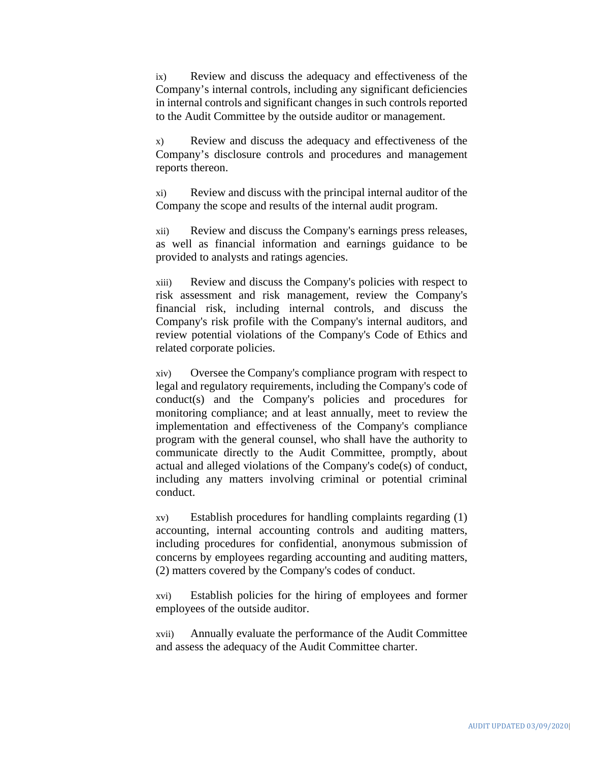ix) Review and discuss the adequacy and effectiveness of the Company's internal controls, including any significant deficiencies in internal controls and significant changes in such controls reported to the Audit Committee by the outside auditor or management.

x) Review and discuss the adequacy and effectiveness of the Company's disclosure controls and procedures and management reports thereon.

xi) Review and discuss with the principal internal auditor of the Company the scope and results of the internal audit program.

xii) Review and discuss the Company's earnings press releases, as well as financial information and earnings guidance to be provided to analysts and ratings agencies.

xiii) Review and discuss the Company's policies with respect to risk assessment and risk management, review the Company's financial risk, including internal controls, and discuss the Company's risk profile with the Company's internal auditors, and review potential violations of the Company's Code of Ethics and related corporate policies.

xiv) Oversee the Company's compliance program with respect to legal and regulatory requirements, including the Company's code of conduct(s) and the Company's policies and procedures for monitoring compliance; and at least annually, meet to review the implementation and effectiveness of the Company's compliance program with the general counsel, who shall have the authority to communicate directly to the Audit Committee, promptly, about actual and alleged violations of the Company's code(s) of conduct, including any matters involving criminal or potential criminal conduct.

xv) Establish procedures for handling complaints regarding (1) accounting, internal accounting controls and auditing matters, including procedures for confidential, anonymous submission of concerns by employees regarding accounting and auditing matters, (2) matters covered by the Company's codes of conduct.

xvi) Establish policies for the hiring of employees and former employees of the outside auditor.

xvii) Annually evaluate the performance of the Audit Committee and assess the adequacy of the Audit Committee charter.